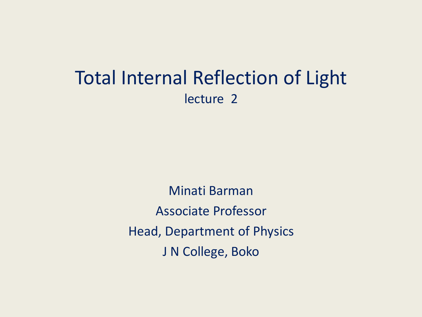# Total Internal Reflection of Light lecture 2

Minati Barman Associate Professor Head, Department of Physics J N College, Boko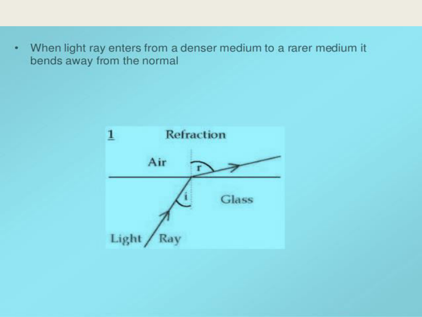When light ray enters from a denser medium to a rarer medium it ٠ bends away from the normal

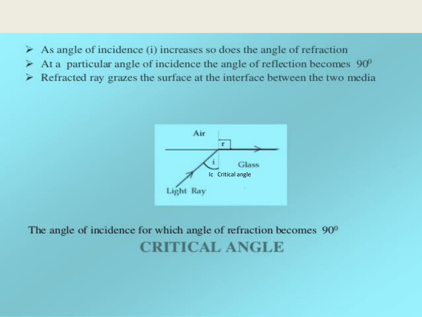- $\triangleright$  As angle of incidence (i) increases so does the angle of refraction
- $\geq$  At a particular angle of incidence the angle of reflection becomes 90<sup>0</sup>
- $\triangleright$  Refracted ray grazes the surface at the interface between the two media



# The angle of incidence for which angle of refraction becomes  $90^\circ$ **CRITICAL ANGLE**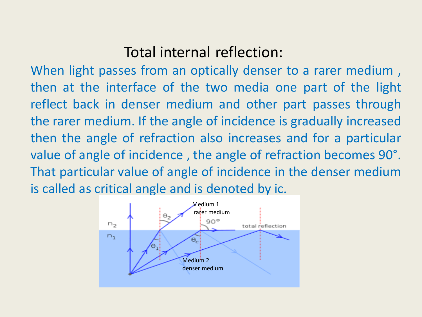# Total internal reflection:

When light passes from an optically denser to a rarer medium , then at the interface of the two media one part of the light reflect back in denser medium and other part passes through the rarer medium. If the angle of incidence is gradually increased then the angle of refraction also increases and for a particular value of angle of incidence , the angle of refraction becomes 90°. That particular value of angle of incidence in the denser medium is called as critical angle and is denoted by ic.

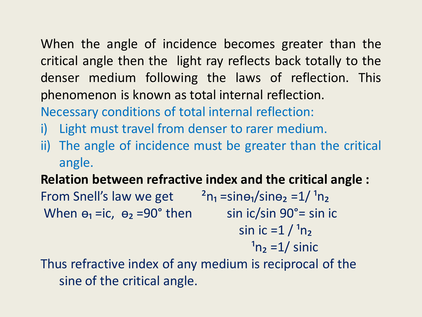When the angle of incidence becomes greater than the critical angle then the light ray reflects back totally to the denser medium following the laws of reflection. This phenomenon is known as total internal reflection. Necessary conditions of total internal reflection:

- i) Light must travel from denser to rarer medium.
- ii) The angle of incidence must be greater than the critical angle.

**Relation between refractive index and the critical angle :** 

From Snell's law we get  $\frac{a_{n_1}}{n_1}$  =sin $\theta_1$ /sin $\theta_2$  =1/ $\theta_1$ When  $\theta_1$  =ic,  $\theta_2$  =90° then sin ic/sin 90°= sin ic sin ic =1  $/ \n^1 n_2$  $n_2 = 1/$  sinic

Thus refractive index of any medium is reciprocal of the sine of the critical angle.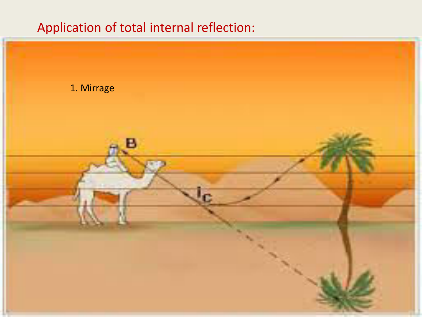# Application of total internal reflection:

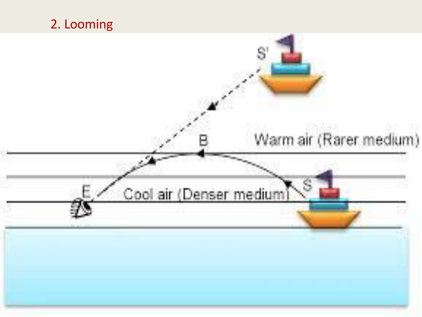# 2. Looming



S

Cool air (Denser medium)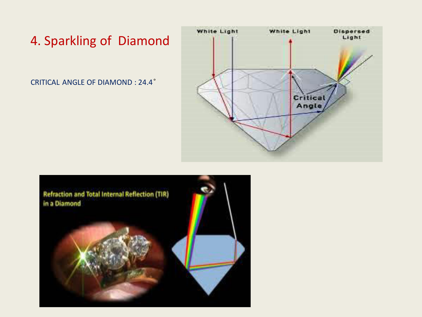#### 4. Sparkling of Diamond

CRITICAL ANGLE OF DIAMOND : 24.4°



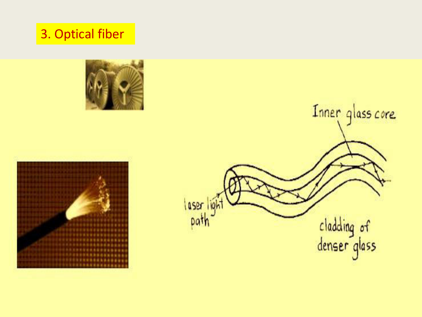# 3. Optical fiber





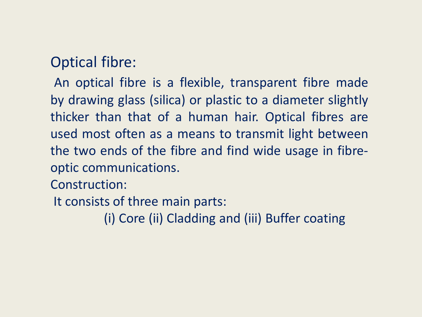# Optical fibre:

An optical fibre is a flexible, transparent fibre made by drawing glass (silica) or plastic to a diameter slightly thicker than that of a human hair. Optical fibres are used most often as a means to transmit light between the two ends of the fibre and find wide usage in fibreoptic communications.

Construction:

It consists of three main parts:

(i) Core (ii) Cladding and (iii) Buffer coating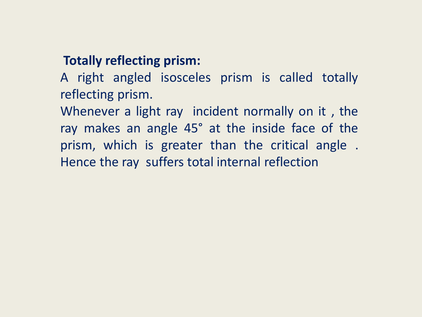#### **Totally reflecting prism:**

A right angled isosceles prism is called totally reflecting prism.

Whenever a light ray incident normally on it , the ray makes an angle 45° at the inside face of the prism, which is greater than the critical angle . Hence the ray suffers total internal reflection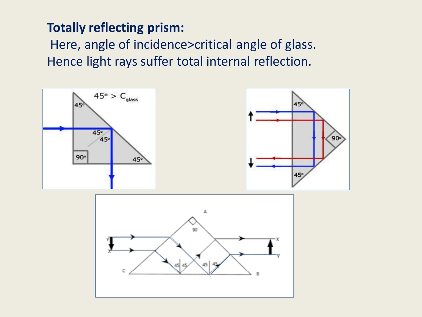#### **Totally reflecting prism:**

 Here, angle of incidence>critical angle of glass. Hence light rays suffer total internal reflection.